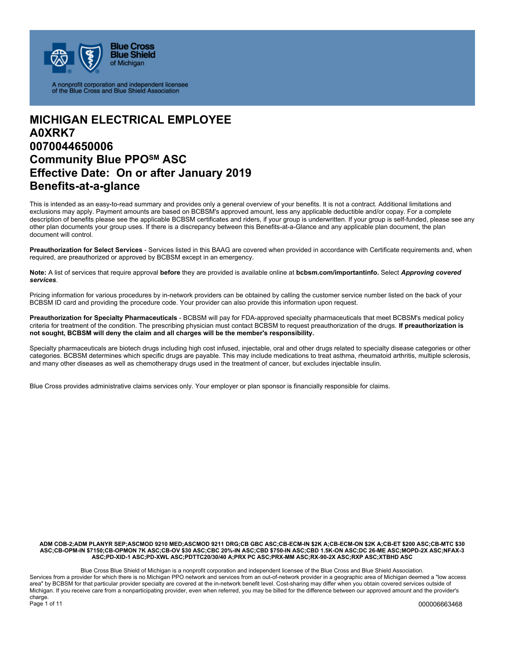

A nonprofit corporation and independent licensee<br>of the Blue Cross and Blue Shield Association

# **MICHIGAN ELECTRICAL EMPLOYEE A0XRK7 0070044650006 Community Blue PPOSM ASC Effective Date: On or after January 2019 Benefits-at-a-glance**

This is intended as an easy-to-read summary and provides only a general overview of your benefits. It is not a contract. Additional limitations and exclusions may apply. Payment amounts are based on BCBSM's approved amount, less any applicable deductible and/or copay. For a complete description of benefits please see the applicable BCBSM certificates and riders, if your group is underwritten. If your group is self-funded, please see any other plan documents your group uses. If there is a discrepancy between this Benefits-at-a-Glance and any applicable plan document, the plan document will control.

**Preauthorization for Select Services** - Services listed in this BAAG are covered when provided in accordance with Certificate requirements and, when required, are preauthorized or approved by BCBSM except in an emergency.

**Note:** A list of services that require approval **before** they are provided is available online at **bcbsm.com/importantinfo.** Select *Approving covered services*.

Pricing information for various procedures by in-network providers can be obtained by calling the customer service number listed on the back of your BCBSM ID card and providing the procedure code. Your provider can also provide this information upon request.

**Preauthorization for Specialty Pharmaceuticals** - BCBSM will pay for FDA-approved specialty pharmaceuticals that meet BCBSM's medical policy criteria for treatment of the condition. The prescribing physician must contact BCBSM to request preauthorization of the drugs. **If preauthorization is not sought, BCBSM will deny the claim and all charges will be the member's responsibility.** 

Specialty pharmaceuticals are biotech drugs including high cost infused, injectable, oral and other drugs related to specialty disease categories or other categories. BCBSM determines which specific drugs are payable. This may include medications to treat asthma, rheumatoid arthritis, multiple sclerosis, and many other diseases as well as chemotherapy drugs used in the treatment of cancer, but excludes injectable insulin.

Blue Cross provides administrative claims services only. Your employer or plan sponsor is financially responsible for claims.

**ADM COB-2;ADM PLANYR SEP;ASCMOD 9210 MED;ASCMOD 9211 DRG;CB GBC ASC;CB-ECM-IN \$2K A;CB-ECM-ON \$2K A;CB-ET \$200 ASC;CB-MTC \$30 ASC;CB-OPM-IN \$7150;CB-OPMON 7K ASC;CB-OV \$30 ASC;CBC 20%-IN ASC;CBD \$750-IN ASC;CBD 1.5K-ON ASC;DC 26-ME ASC;MOPD-2X ASC;NFAX-3 ASC;PD-XID-1 ASC;PD-XWL ASC;PDTTC20/30/40 A;PRX PC ASC;PRX-MM ASC;RX-90-2X ASC;RXP ASC;XTBHD ASC** 

Blue Cross Blue Shield of Michigan is a nonprofit corporation and independent licensee of the Blue Cross and Blue Shield Association. Services from a provider for which there is no Michigan PPO network and services from an out-of-network provider in a geographic area of Michigan deemed a "low access area" by BCBSM for that particular provider specialty are covered at the in-network benefit level. Cost-sharing may differ when you obtain covered services outside of Michigan. If you receive care from a nonparticipating provider, even when referred, you may be billed for the difference between our approved amount and the provider's Page 1 of 11 000006663468 Page 1 of 11 000006663468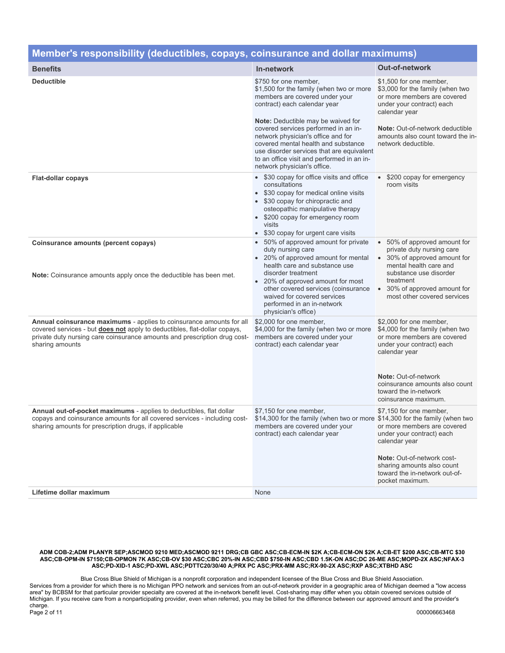| Member's responsibility (deductibles, copays, coinsurance and dollar maximums)                                                                                                                                                                    |                                                                                                                                                                                                                                                                                                                       |                                                                                                                                                                                                                                                     |
|---------------------------------------------------------------------------------------------------------------------------------------------------------------------------------------------------------------------------------------------------|-----------------------------------------------------------------------------------------------------------------------------------------------------------------------------------------------------------------------------------------------------------------------------------------------------------------------|-----------------------------------------------------------------------------------------------------------------------------------------------------------------------------------------------------------------------------------------------------|
| <b>Benefits</b>                                                                                                                                                                                                                                   | In-network                                                                                                                                                                                                                                                                                                            | <b>Out-of-network</b>                                                                                                                                                                                                                               |
| <b>Deductible</b>                                                                                                                                                                                                                                 | \$750 for one member,<br>\$1,500 for the family (when two or more<br>members are covered under your<br>contract) each calendar year                                                                                                                                                                                   | \$1,500 for one member,<br>\$3,000 for the family (when two<br>or more members are covered<br>under your contract) each<br>calendar year                                                                                                            |
|                                                                                                                                                                                                                                                   | <b>Note:</b> Deductible may be waived for<br>covered services performed in an in-<br>network physician's office and for<br>covered mental health and substance<br>use disorder services that are equivalent<br>to an office visit and performed in an in-<br>network physician's office.                              | <b>Note:</b> Out-of-network deductible<br>amounts also count toward the in-<br>network deductible.                                                                                                                                                  |
| <b>Flat-dollar copays</b>                                                                                                                                                                                                                         | • \$30 copay for office visits and office<br>consultations<br>\$30 copay for medical online visits<br>\$30 copay for chiropractic and<br>osteopathic manipulative therapy<br>\$200 copay for emergency room<br>visits<br>\$30 copay for urgent care visits<br>$\bullet$                                               | • \$200 copay for emergency<br>room visits                                                                                                                                                                                                          |
| Coinsurance amounts (percent copays)<br>Note: Coinsurance amounts apply once the deductible has been met.                                                                                                                                         | • 50% of approved amount for private<br>duty nursing care<br>• 20% of approved amount for mental<br>health care and substance use<br>disorder treatment<br>20% of approved amount for most<br>other covered services (coinsurance<br>waived for covered services<br>performed in an in-network<br>physician's office) | • 50% of approved amount for<br>private duty nursing care<br>• 30% of approved amount for<br>mental health care and<br>substance use disorder<br>treatment<br>• 30% of approved amount for<br>most other covered services                           |
| Annual coinsurance maximums - applies to coinsurance amounts for all<br>covered services - but does not apply to deductibles, flat-dollar copays,<br>private duty nursing care coinsurance amounts and prescription drug cost-<br>sharing amounts | \$2,000 for one member,<br>\$4,000 for the family (when two or more<br>members are covered under your<br>contract) each calendar year                                                                                                                                                                                 | \$2,000 for one member,<br>\$4,000 for the family (when two<br>or more members are covered<br>under your contract) each<br>calendar year<br>Note: Out-of-network<br>coinsurance amounts also count<br>toward the in-network<br>coinsurance maximum. |
| <b>Annual out-of-pocket maximums - applies to deductibles, flat dollar</b><br>copays and coinsurance amounts for all covered services - including cost-<br>sharing amounts for prescription drugs, if applicable                                  | \$7,150 for one member,<br>\$14,300 for the family (when two or more \$14,300 for the family (when two<br>members are covered under your<br>contract) each calendar year                                                                                                                                              | \$7,150 for one member,<br>or more members are covered<br>under your contract) each<br>calendar year<br>Note: Out-of-network cost-<br>sharing amounts also count<br>toward the in-network out-of-<br>pocket maximum.                                |
| Lifetime dollar maximum                                                                                                                                                                                                                           | None                                                                                                                                                                                                                                                                                                                  |                                                                                                                                                                                                                                                     |

Blue Cross Blue Shield of Michigan is a nonprofit corporation and independent licensee of the Blue Cross and Blue Shield Association. Services from a provider for which there is no Michigan PPO network and services from an out-of-network provider in a geographic area of Michigan deemed a "low access area" by BCBSM for that particular provider specialty are covered at the in-network benefit level. Cost-sharing may differ when you obtain covered services outside of Michigan. If you receive care from a nonparticipating provider, even when referred, you may be billed for the difference between our approved amount and the provider's charge.<br>Page 2 of 11 Page 2 of 11 000006663468 Page 2 of 11 000006663468 Page 2 of 11 000006663468 Page 2 of 11 000006663468 Page 2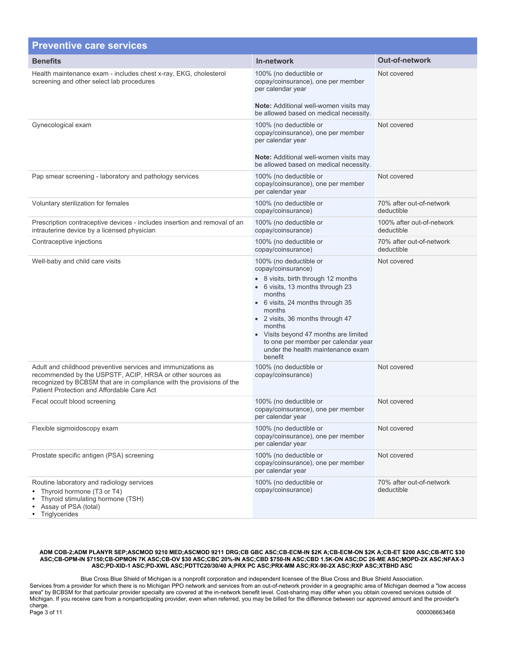| <b>Preventive care services</b>                                                                                                                                                                                                                  |                                                                                                                                                                                                                                                                                                                                                               |                                         |
|--------------------------------------------------------------------------------------------------------------------------------------------------------------------------------------------------------------------------------------------------|---------------------------------------------------------------------------------------------------------------------------------------------------------------------------------------------------------------------------------------------------------------------------------------------------------------------------------------------------------------|-----------------------------------------|
| <b>Benefits</b>                                                                                                                                                                                                                                  | In-network                                                                                                                                                                                                                                                                                                                                                    | <b>Out-of-network</b>                   |
| Health maintenance exam - includes chest x-ray, EKG, cholesterol<br>screening and other select lab procedures                                                                                                                                    | 100% (no deductible or<br>copay/coinsurance), one per member<br>per calendar year<br><b>Note:</b> Additional well-women visits may                                                                                                                                                                                                                            | Not covered                             |
|                                                                                                                                                                                                                                                  | be allowed based on medical necessity.                                                                                                                                                                                                                                                                                                                        |                                         |
| Gynecological exam                                                                                                                                                                                                                               | 100% (no deductible or<br>copay/coinsurance), one per member<br>per calendar year<br>Note: Additional well-women visits may<br>be allowed based on medical necessity.                                                                                                                                                                                         | Not covered                             |
| Pap smear screening - laboratory and pathology services                                                                                                                                                                                          | 100% (no deductible or<br>copay/coinsurance), one per member<br>per calendar year                                                                                                                                                                                                                                                                             | Not covered                             |
| Voluntary sterilization for females                                                                                                                                                                                                              | 100% (no deductible or<br>copay/coinsurance)                                                                                                                                                                                                                                                                                                                  | 70% after out-of-network<br>deductible  |
| Prescription contraceptive devices - includes insertion and removal of an<br>intrauterine device by a licensed physician                                                                                                                         | 100% (no deductible or<br>copay/coinsurance)                                                                                                                                                                                                                                                                                                                  | 100% after out-of-network<br>deductible |
| Contraceptive injections                                                                                                                                                                                                                         | 100% (no deductible or<br>copay/coinsurance)                                                                                                                                                                                                                                                                                                                  | 70% after out-of-network<br>deductible  |
| Well-baby and child care visits                                                                                                                                                                                                                  | 100% (no deductible or<br>copay/coinsurance)<br>• 8 visits, birth through 12 months<br>• 6 visits, 13 months through 23<br>months<br>• 6 visits, 24 months through 35<br>months<br>• 2 visits, 36 months through 47<br>months<br>• Visits beyond 47 months are limited<br>to one per member per calendar year<br>under the health maintenance exam<br>benefit | Not covered                             |
| Adult and childhood preventive services and immunizations as<br>recommended by the USPSTF, ACIP, HRSA or other sources as<br>recognized by BCBSM that are in compliance with the provisions of the<br>Patient Protection and Affordable Care Act | 100% (no deductible or<br>copay/coinsurance)                                                                                                                                                                                                                                                                                                                  | Not covered                             |
| Fecal occult blood screening                                                                                                                                                                                                                     | 100% (no deductible or<br>copay/coinsurance), one per member<br>per calendar year                                                                                                                                                                                                                                                                             | Not covered                             |
| Flexible sigmoidoscopy exam                                                                                                                                                                                                                      | 100% (no deductible or<br>copay/coinsurance), one per member<br>per calendar year                                                                                                                                                                                                                                                                             | Not covered                             |
| Prostate specific antigen (PSA) screening                                                                                                                                                                                                        | 100% (no deductible or<br>copay/coinsurance), one per member<br>per calendar year                                                                                                                                                                                                                                                                             | Not covered                             |
| Routine laboratory and radiology services<br>Thyroid hormone (T3 or T4)<br>Thyroid stimulating hormone (TSH)<br>Assay of PSA (total)<br>Triglycerides                                                                                            | 100% (no deductible or<br>copay/coinsurance)                                                                                                                                                                                                                                                                                                                  | 70% after out-of-network<br>deductible  |

Blue Cross Blue Shield of Michigan is a nonprofit corporation and independent licensee of the Blue Cross and Blue Shield Association. Services from a provider for which there is no Michigan PPO network and services from an out-of-network provider in a geographic area of Michigan deemed a "low access area" by BCBSM for that particular provider specialty are covered at the in-network benefit level. Cost-sharing may differ when you obtain covered services outside of Michigan. If you receive care from a nonparticipating provider, even when referred, you may be billed for the difference between our approved amount and the provider's charge.<br>Page 3 of 11 Page 3 of 11 000006663468 Page 3 of 11 000006663468 Page 3 of 11 000006663468 Page 3 of 11 000006663468 Page 3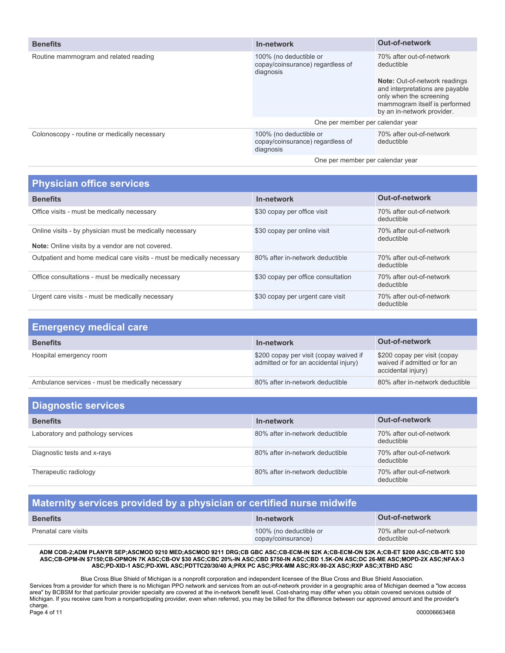| <b>Benefits</b>                              | In-network                                                              | <b>Out-of-network</b>                                                                                                                                             |
|----------------------------------------------|-------------------------------------------------------------------------|-------------------------------------------------------------------------------------------------------------------------------------------------------------------|
| Routine mammogram and related reading        | 100% (no deductible or<br>copay/coinsurance) regardless of<br>diagnosis | 70% after out-of-network<br>deductible                                                                                                                            |
|                                              |                                                                         | <b>Note:</b> Out-of-network readings<br>and interpretations are payable<br>only when the screening<br>mammogram itself is performed<br>by an in-network provider. |
|                                              | One per member per calendar year                                        |                                                                                                                                                                   |
| Colonoscopy - routine or medically necessary | 100% (no deductible or<br>copay/coinsurance) regardless of<br>diagnosis | 70% after out-of-network<br>deductible                                                                                                                            |
|                                              | One per member per calendar year                                        |                                                                                                                                                                   |

| <b>Physician office services</b>                                                                             |                                    |                                        |
|--------------------------------------------------------------------------------------------------------------|------------------------------------|----------------------------------------|
| <b>Benefits</b>                                                                                              | In-network                         | <b>Out-of-network</b>                  |
| Office visits - must be medically necessary                                                                  | \$30 copay per office visit        | 70% after out-of-network<br>deductible |
| Online visits - by physician must be medically necessary<br>Note: Online visits by a vendor are not covered. | \$30 copay per online visit        | 70% after out-of-network<br>deductible |
| Outpatient and home medical care visits - must be medically necessary                                        | 80% after in-network deductible    | 70% after out-of-network<br>deductible |
| Office consultations - must be medically necessary                                                           | \$30 copay per office consultation | 70% after out-of-network<br>deductible |
| Urgent care visits - must be medically necessary                                                             | \$30 copay per urgent care visit   | 70% after out-of-network<br>deductible |

| In-network                                                                      | <b>Out-of-network</b>                                                              |
|---------------------------------------------------------------------------------|------------------------------------------------------------------------------------|
| \$200 copay per visit (copay waived if<br>admitted or for an accidental injury) | \$200 copay per visit (copay<br>waived if admitted or for an<br>accidental injury) |
| 80% after in-network deductible                                                 | 80% after in-network deductible                                                    |
|                                                                                 |                                                                                    |

| <b>Diagnostic services</b>        |                                 |                                        |
|-----------------------------------|---------------------------------|----------------------------------------|
| <b>Benefits</b>                   | In-network                      | <b>Out-of-network</b>                  |
| Laboratory and pathology services | 80% after in-network deductible | 70% after out-of-network<br>deductible |
| Diagnostic tests and x-rays       | 80% after in-network deductible | 70% after out-of-network<br>deductible |
| Therapeutic radiology             | 80% after in-network deductible | 70% after out-of-network<br>deductible |

## **Maternity services provided by a physician or certified nurse midwife**

| <b>Benefits</b>      | In-network                                   | Out-of-network                         |
|----------------------|----------------------------------------------|----------------------------------------|
| Prenatal care visits | 100% (no deductible or<br>copay/coinsurance) | 70% after out-of-network<br>deductible |

#### **ADM COB-2;ADM PLANYR SEP;ASCMOD 9210 MED;ASCMOD 9211 DRG;CB GBC ASC;CB-ECM-IN \$2K A;CB-ECM-ON \$2K A;CB-ET \$200 ASC;CB-MTC \$30 ASC;CB-OPM-IN \$7150;CB-OPMON 7K ASC;CB-OV \$30 ASC;CBC 20%-IN ASC;CBD \$750-IN ASC;CBD 1.5K-ON ASC;DC 26-ME ASC;MOPD-2X ASC;NFAX-3 ASC;PD-XID-1 ASC;PD-XWL ASC;PDTTC20/30/40 A;PRX PC ASC;PRX-MM ASC;RX-90-2X ASC;RXP ASC;XTBHD ASC**

Blue Cross Blue Shield of Michigan is a nonprofit corporation and independent licensee of the Blue Cross and Blue Shield Association. Services from a provider for which there is no Michigan PPO network and services from an out-of-network provider in a geographic area of Michigan deemed a "low access area" by BCBSM for that particular provider specialty are covered at the in-network benefit level. Cost-sharing may differ when you obtain covered services outside of Michigan. If you receive care from a nonparticipating provider, even when referred, you may be billed for the difference between our approved amount and the provider's charge.<br>Page 4 of 11 Page 4 of 11 000006663468 Page 1 000006663468 Page 1 000006663468 Page 1 000006663468 Page 1 000006663468 Page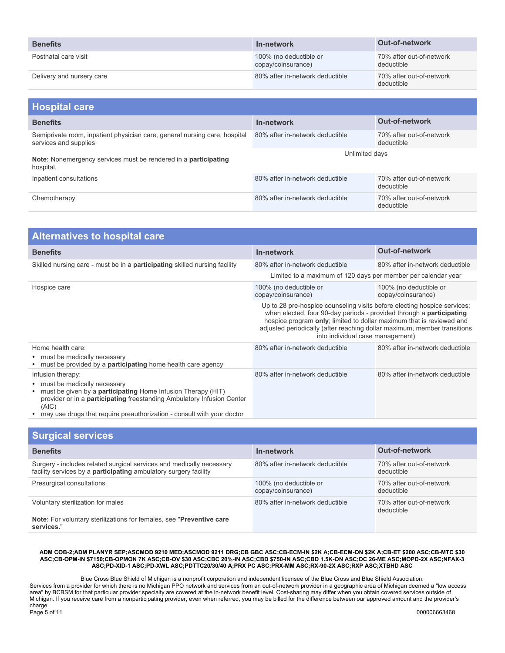| <b>Benefits</b>           | In-network                                   | Out-of-network                         |
|---------------------------|----------------------------------------------|----------------------------------------|
| Postnatal care visit      | 100% (no deductible or<br>copay/coinsurance) | 70% after out-of-network<br>deductible |
| Delivery and nursery care | 80% after in-network deductible              | 70% after out-of-network<br>deductible |

| <b>Hospital care</b>                                                                                |                                 |                                        |
|-----------------------------------------------------------------------------------------------------|---------------------------------|----------------------------------------|
| <b>Benefits</b>                                                                                     | In-network                      | <b>Out-of-network</b>                  |
| Semiprivate room, inpatient physician care, general nursing care, hospital<br>services and supplies | 80% after in-network deductible | 70% after out-of-network<br>deductible |
| Note: Nonemergency services must be rendered in a participating<br>hospital.                        | Unlimited days                  |                                        |
| Inpatient consultations                                                                             | 80% after in-network deductible | 70% after out-of-network<br>deductible |
| Chemotherapy                                                                                        | 80% after in-network deductible | 70% after out-of-network<br>deductible |

| <b>Alternatives to hospital care</b>                                                                                                                                                                                                                                                        |                                                                                                                                                                                                                                                                                                                                                 |                                              |
|---------------------------------------------------------------------------------------------------------------------------------------------------------------------------------------------------------------------------------------------------------------------------------------------|-------------------------------------------------------------------------------------------------------------------------------------------------------------------------------------------------------------------------------------------------------------------------------------------------------------------------------------------------|----------------------------------------------|
| <b>Benefits</b>                                                                                                                                                                                                                                                                             | In-network                                                                                                                                                                                                                                                                                                                                      | <b>Out-of-network</b>                        |
| Skilled nursing care - must be in a <b>participating</b> skilled nursing facility                                                                                                                                                                                                           | 80% after in-network deductible                                                                                                                                                                                                                                                                                                                 | 80% after in-network deductible              |
|                                                                                                                                                                                                                                                                                             | Limited to a maximum of 120 days per member per calendar year                                                                                                                                                                                                                                                                                   |                                              |
| Hospice care                                                                                                                                                                                                                                                                                | 100% (no deductible or<br>copay/coinsurance)                                                                                                                                                                                                                                                                                                    | 100% (no deductible or<br>copay/coinsurance) |
|                                                                                                                                                                                                                                                                                             | Up to 28 pre-hospice counseling visits before electing hospice services;<br>when elected, four 90-day periods - provided through a <b>participating</b><br>hospice program only; limited to dollar maximum that is reviewed and<br>adjusted periodically (after reaching dollar maximum, member transitions<br>into individual case management) |                                              |
| Home health care:<br>• must be medically necessary<br>must be provided by a <b>participating</b> home health care agency                                                                                                                                                                    | 80% after in-network deductible                                                                                                                                                                                                                                                                                                                 | 80% after in-network deductible              |
| Infusion therapy:<br>• must be medically necessary<br>must be given by a participating Home Infusion Therapy (HIT)<br>٠<br>provider or in a <b>participating</b> freestanding Ambulatory Infusion Center<br>(AIC)<br>may use drugs that require preauthorization - consult with your doctor | 80% after in-network deductible                                                                                                                                                                                                                                                                                                                 | 80% after in-network deductible              |

| <b>Surgical services</b>                                                                                                                 |                                              |                                        |
|------------------------------------------------------------------------------------------------------------------------------------------|----------------------------------------------|----------------------------------------|
| <b>Benefits</b>                                                                                                                          | In-network                                   | <b>Out-of-network</b>                  |
| Surgery - includes related surgical services and medically necessary<br>facility services by a participating ambulatory surgery facility | 80% after in-network deductible              | 70% after out-of-network<br>deductible |
| Presurgical consultations                                                                                                                | 100% (no deductible or<br>copay/coinsurance) | 70% after out-of-network<br>deductible |
| Voluntary sterilization for males                                                                                                        | 80% after in-network deductible              | 70% after out-of-network<br>deductible |
| Note: For voluntary sterilizations for females, see "Preventive care<br>services."                                                       |                                              |                                        |

Blue Cross Blue Shield of Michigan is a nonprofit corporation and independent licensee of the Blue Cross and Blue Shield Association. Services from a provider for which there is no Michigan PPO network and services from an out-of-network provider in a geographic area of Michigan deemed a "low access area" by BCBSM for that particular provider specialty are covered at the in-network benefit level. Cost-sharing may differ when you obtain covered services outside of Michigan. If you receive care from a nonparticipating provider, even when referred, you may be billed for the difference between our approved amount and the provider's charge.<br>Page 5 of 11 Page 5 of 11 000006663468 Page 1 000006663468 Page 1 000006663468 Page 1 000006663468 Page 1 000006663468 Page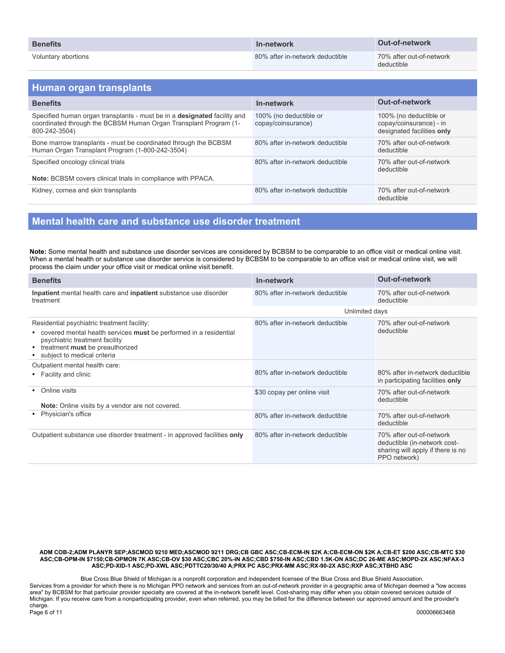| <b>Benefits</b>     | In-network                      | Out-of-network                         |
|---------------------|---------------------------------|----------------------------------------|
| Voluntary abortions | 80% after in-network deductible | 70% after out-of-network<br>deductible |

| Human organ transplants                                                                                                                                       |                                              |                                                                                 |  |
|---------------------------------------------------------------------------------------------------------------------------------------------------------------|----------------------------------------------|---------------------------------------------------------------------------------|--|
| <b>Benefits</b>                                                                                                                                               | In-network                                   | <b>Out-of-network</b>                                                           |  |
| Specified human organ transplants - must be in a designated facility and<br>coordinated through the BCBSM Human Organ Transplant Program (1-<br>800-242-3504) | 100% (no deductible or<br>copay/coinsurance) | 100% (no deductible or<br>copay/coinsurance) - in<br>designated facilities only |  |
| Bone marrow transplants - must be coordinated through the BCBSM<br>Human Organ Transplant Program (1-800-242-3504)                                            | 80% after in-network deductible              | 70% after out-of-network<br>deductible                                          |  |
| Specified oncology clinical trials<br>Note: BCBSM covers clinical trials in compliance with PPACA.                                                            | 80% after in-network deductible              | 70% after out-of-network<br>deductible                                          |  |
| Kidney, cornea and skin transplants                                                                                                                           | 80% after in-network deductible              | 70% after out-of-network<br>deductible                                          |  |

### **Mental health care and substance use disorder treatment**

**Note:** Some mental health and substance use disorder services are considered by BCBSM to be comparable to an office visit or medical online visit. When a mental health or substance use disorder service is considered by BCBSM to be comparable to an office visit or medical online visit, we will process the claim under your office visit or medical online visit benefit.

| <b>Benefits</b>                                                                                                                                                                                                        | In-network                      | <b>Out-of-network</b>                                                                                         |
|------------------------------------------------------------------------------------------------------------------------------------------------------------------------------------------------------------------------|---------------------------------|---------------------------------------------------------------------------------------------------------------|
| Inpatient mental health care and inpatient substance use disorder<br>treatment                                                                                                                                         | 80% after in-network deductible | 70% after out-of-network<br>deductible                                                                        |
|                                                                                                                                                                                                                        | Unlimited days                  |                                                                                                               |
| Residential psychiatric treatment facility:<br>• covered mental health services must be performed in a residential<br>psychiatric treatment facility<br>treatment must be preauthorized<br>subject to medical criteria | 80% after in-network deductible | 70% after out-of-network<br>deductible                                                                        |
| Outpatient mental health care:<br>• Facility and clinic                                                                                                                                                                | 80% after in-network deductible | 80% after in-network deductible<br>in participating facilities only                                           |
| Online visits<br>Note: Online visits by a vendor are not covered.                                                                                                                                                      | \$30 copay per online visit     | 70% after out-of-network<br>deductible                                                                        |
| Physician's office                                                                                                                                                                                                     | 80% after in-network deductible | 70% after out-of-network<br>deductible                                                                        |
| Outpatient substance use disorder treatment - in approved facilities only                                                                                                                                              | 80% after in-network deductible | 70% after out-of-network<br>deductible (in-network cost-<br>sharing will apply if there is no<br>PPO network) |

**ADM COB-2;ADM PLANYR SEP;ASCMOD 9210 MED;ASCMOD 9211 DRG;CB GBC ASC;CB-ECM-IN \$2K A;CB-ECM-ON \$2K A;CB-ET \$200 ASC;CB-MTC \$30 ASC;CB-OPM-IN \$7150;CB-OPMON 7K ASC;CB-OV \$30 ASC;CBC 20%-IN ASC;CBD \$750-IN ASC;CBD 1.5K-ON ASC;DC 26-ME ASC;MOPD-2X ASC;NFAX-3 ASC;PD-XID-1 ASC;PD-XWL ASC;PDTTC20/30/40 A;PRX PC ASC;PRX-MM ASC;RX-90-2X ASC;RXP ASC;XTBHD ASC** 

Blue Cross Blue Shield of Michigan is a nonprofit corporation and independent licensee of the Blue Cross and Blue Shield Association. Services from a provider for which there is no Michigan PPO network and services from an out-of-network provider in a geographic area of Michigan deemed a "low access area" by BCBSM for that particular provider specialty are covered at the in-network benefit level. Cost-sharing may differ when you obtain covered services outside of Michigan. If you receive care from a nonparticipating provider, even when referred, you may be billed for the difference between our approved amount and the provider's charge.<br>Page 6 of 11 Page 6 of 11 000006663468 Page 7 000006663468 Page 7 000006663468 Page 7 000006663468 Page 7 000006663468 Page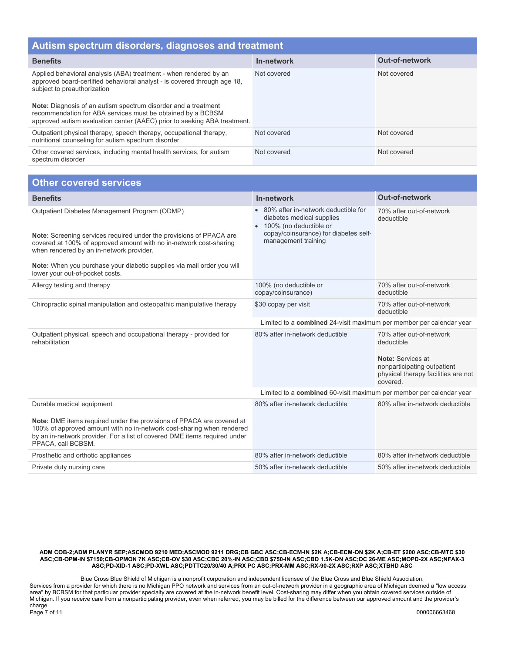| Autism spectrum disorders, diagnoses and treatment                                                                                                                                                                                                                                                                                                                                               |             |                       |  |
|--------------------------------------------------------------------------------------------------------------------------------------------------------------------------------------------------------------------------------------------------------------------------------------------------------------------------------------------------------------------------------------------------|-------------|-----------------------|--|
| <b>Benefits</b>                                                                                                                                                                                                                                                                                                                                                                                  | In-network  | <b>Out-of-network</b> |  |
| Applied behavioral analysis (ABA) treatment - when rendered by an<br>approved board-certified behavioral analyst - is covered through age 18.<br>subject to preauthorization<br><b>Note:</b> Diagnosis of an autism spectrum disorder and a treatment<br>recommendation for ABA services must be obtained by a BCBSM<br>approved autism evaluation center (AAEC) prior to seeking ABA treatment. | Not covered | Not covered           |  |
| Outpatient physical therapy, speech therapy, occupational therapy,<br>nutritional counseling for autism spectrum disorder                                                                                                                                                                                                                                                                        | Not covered | Not covered           |  |
| Other covered services, including mental health services, for autism<br>spectrum disorder                                                                                                                                                                                                                                                                                                        | Not covered | Not covered           |  |

| <b>Other covered services</b>                                                                                                                                                                                                                                                                                                                       |                                                                                                                                                                |                                                                                                                                               |  |
|-----------------------------------------------------------------------------------------------------------------------------------------------------------------------------------------------------------------------------------------------------------------------------------------------------------------------------------------------------|----------------------------------------------------------------------------------------------------------------------------------------------------------------|-----------------------------------------------------------------------------------------------------------------------------------------------|--|
| <b>Benefits</b>                                                                                                                                                                                                                                                                                                                                     | In-network                                                                                                                                                     | <b>Out-of-network</b>                                                                                                                         |  |
| Outpatient Diabetes Management Program (ODMP)<br>Note: Screening services required under the provisions of PPACA are<br>covered at 100% of approved amount with no in-network cost-sharing<br>when rendered by an in-network provider.<br>Note: When you purchase your diabetic supplies via mail order you will<br>lower your out-of-pocket costs. | • 80% after in-network deductible for<br>diabetes medical supplies<br>• 100% (no deductible or<br>copay/coinsurance) for diabetes self-<br>management training | 70% after out-of-network<br>deductible                                                                                                        |  |
| Allergy testing and therapy                                                                                                                                                                                                                                                                                                                         | 100% (no deductible or<br>copay/coinsurance)                                                                                                                   | 70% after out-of-network<br>deductible                                                                                                        |  |
| Chiropractic spinal manipulation and osteopathic manipulative therapy                                                                                                                                                                                                                                                                               | \$30 copay per visit                                                                                                                                           | 70% after out-of-network<br>deductible                                                                                                        |  |
|                                                                                                                                                                                                                                                                                                                                                     | Limited to a combined 24-visit maximum per member per calendar year                                                                                            |                                                                                                                                               |  |
| Outpatient physical, speech and occupational therapy - provided for<br>rehabilitation                                                                                                                                                                                                                                                               | 80% after in-network deductible                                                                                                                                | 70% after out-of-network<br>deductible<br>Note: Services at<br>nonparticipating outpatient<br>physical therapy facilities are not<br>covered. |  |
|                                                                                                                                                                                                                                                                                                                                                     | Limited to a combined 60-visit maximum per member per calendar year                                                                                            |                                                                                                                                               |  |
| Durable medical equipment<br>Note: DME items required under the provisions of PPACA are covered at<br>100% of approved amount with no in-network cost-sharing when rendered<br>by an in-network provider. For a list of covered DME items required under<br>PPACA, call BCBSM.                                                                      | 80% after in-network deductible                                                                                                                                | 80% after in-network deductible                                                                                                               |  |
| Prosthetic and orthotic appliances                                                                                                                                                                                                                                                                                                                  | 80% after in-network deductible                                                                                                                                | 80% after in-network deductible                                                                                                               |  |
| Private duty nursing care                                                                                                                                                                                                                                                                                                                           | 50% after in-network deductible                                                                                                                                | 50% after in-network deductible                                                                                                               |  |

Blue Cross Blue Shield of Michigan is a nonprofit corporation and independent licensee of the Blue Cross and Blue Shield Association. Services from a provider for which there is no Michigan PPO network and services from an out-of-network provider in a geographic area of Michigan deemed a "low access area" by BCBSM for that particular provider specialty are covered at the in-network benefit level. Cost-sharing may differ when you obtain covered services outside of Michigan. If you receive care from a nonparticipating provider, even when referred, you may be billed for the difference between our approved amount and the provider's charge.<br>Page 7 of 11 Page 7 of 11 000006663468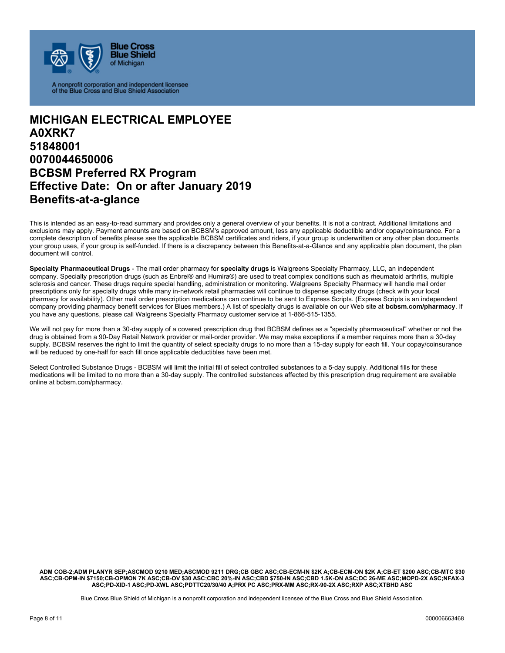

A nonprofit corporation and independent licensee<br>of the Blue Cross and Blue Shield Association

# **MICHIGAN ELECTRICAL EMPLOYEE A0XRK7 51848001 0070044650006 BCBSM Preferred RX Program Effective Date: On or after January 2019 Benefits-at-a-glance**

This is intended as an easy-to-read summary and provides only a general overview of your benefits. It is not a contract. Additional limitations and exclusions may apply. Payment amounts are based on BCBSM's approved amount, less any applicable deductible and/or copay/coinsurance. For a complete description of benefits please see the applicable BCBSM certificates and riders, if your group is underwritten or any other plan documents your group uses, if your group is self-funded. If there is a discrepancy between this Benefits-at-a-Glance and any applicable plan document, the plan document will control.

**Specialty Pharmaceutical Drugs** - The mail order pharmacy for **specialty drugs** is Walgreens Specialty Pharmacy, LLC, an independent company. Specialty prescription drugs (such as Enbrel® and Humira®) are used to treat complex conditions such as rheumatoid arthritis, multiple sclerosis and cancer. These drugs require special handling, administration or monitoring. Walgreens Specialty Pharmacy will handle mail order prescriptions only for specialty drugs while many in-network retail pharmacies will continue to dispense specialty drugs (check with your local pharmacy for availability). Other mail order prescription medications can continue to be sent to Express Scripts. (Express Scripts is an independent company providing pharmacy benefit services for Blues members.) A list of specialty drugs is available on our Web site at **bcbsm.com/pharmacy**. If you have any questions, please call Walgreens Specialty Pharmacy customer service at 1-866-515-1355.

We will not pay for more than a 30-day supply of a covered prescription drug that BCBSM defines as a "specialty pharmaceutical" whether or not the drug is obtained from a 90-Day Retail Network provider or mail-order provider. We may make exceptions if a member requires more than a 30-day supply. BCBSM reserves the right to limit the quantity of select specialty drugs to no more than a 15-day supply for each fill. Your copay/coinsurance will be reduced by one-half for each fill once applicable deductibles have been met.

Select Controlled Substance Drugs - BCBSM will limit the initial fill of select controlled substances to a 5-day supply. Additional fills for these medications will be limited to no more than a 30-day supply. The controlled substances affected by this prescription drug requirement are available online at bcbsm.com/pharmacy.

**ADM COB-2;ADM PLANYR SEP;ASCMOD 9210 MED;ASCMOD 9211 DRG;CB GBC ASC;CB-ECM-IN \$2K A;CB-ECM-ON \$2K A;CB-ET \$200 ASC;CB-MTC \$30 ASC;CB-OPM-IN \$7150;CB-OPMON 7K ASC;CB-OV \$30 ASC;CBC 20%-IN ASC;CBD \$750-IN ASC;CBD 1.5K-ON ASC;DC 26-ME ASC;MOPD-2X ASC;NFAX-3 ASC;PD-XID-1 ASC;PD-XWL ASC;PDTTC20/30/40 A;PRX PC ASC;PRX-MM ASC;RX-90-2X ASC;RXP ASC;XTBHD ASC**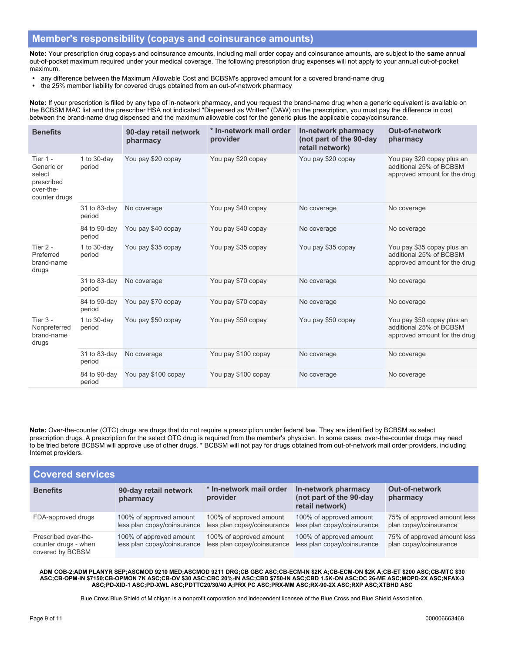### **Member's responsibility (copays and coinsurance amounts)**

**Note:** Your prescription drug copays and coinsurance amounts, including mail order copay and coinsurance amounts, are subject to the **same** annual out-of-pocket maximum required under your medical coverage. The following prescription drug expenses will not apply to your annual out-of-pocket maximum.

- any difference between the Maximum Allowable Cost and BCBSM's approved amount for a covered brand-name drug
- the 25% member liability for covered drugs obtained from an out-of-network pharmacy

**Note:** If your prescription is filled by any type of in-network pharmacy, and you request the brand-name drug when a generic equivalent is available on the BCBSM MAC list and the prescriber HSA not indicated "Dispensed as Written" (DAW) on the prescription, you must pay the difference in cost between the brand-name drug dispensed and the maximum allowable cost for the generic **plus** the applicable copay/coinsurance.

| <b>Benefits</b>                                                              |                          | 90-day retail network<br>pharmacy | * In-network mail order<br>provider | In-network pharmacy<br>(not part of the 90-day<br>retail network) | <b>Out-of-network</b><br>pharmacy                                                     |
|------------------------------------------------------------------------------|--------------------------|-----------------------------------|-------------------------------------|-------------------------------------------------------------------|---------------------------------------------------------------------------------------|
| Tier 1 -<br>Generic or<br>select<br>prescribed<br>over-the-<br>counter drugs | 1 to $30$ -day<br>period | You pay \$20 copay                | You pay \$20 copay                  | You pay \$20 copay                                                | You pay \$20 copay plus an<br>additional 25% of BCBSM<br>approved amount for the drug |
|                                                                              | 31 to 83-day<br>period   | No coverage                       | You pay \$40 copay                  | No coverage                                                       | No coverage                                                                           |
|                                                                              | 84 to 90-day<br>period   | You pay \$40 copay                | You pay \$40 copay                  | No coverage                                                       | No coverage                                                                           |
| Tier 2 -<br>Preferred<br>brand-name<br>drugs                                 | 1 to $30$ -day<br>period | You pay \$35 copay                | You pay \$35 copay                  | You pay \$35 copay                                                | You pay \$35 copay plus an<br>additional 25% of BCBSM<br>approved amount for the drug |
|                                                                              | 31 to 83-day<br>period   | No coverage                       | You pay \$70 copay                  | No coverage                                                       | No coverage                                                                           |
|                                                                              | 84 to 90-day<br>period   | You pay \$70 copay                | You pay \$70 copay                  | No coverage                                                       | No coverage                                                                           |
| Tier 3 -<br>Nonpreferred<br>brand-name<br>drugs                              | 1 to $30$ -day<br>period | You pay \$50 copay                | You pay \$50 copay                  | You pay \$50 copay                                                | You pay \$50 copay plus an<br>additional 25% of BCBSM<br>approved amount for the drug |
|                                                                              | 31 to 83-day<br>period   | No coverage                       | You pay \$100 copay                 | No coverage                                                       | No coverage                                                                           |
|                                                                              | 84 to 90-day<br>period   | You pay \$100 copay               | You pay \$100 copay                 | No coverage                                                       | No coverage                                                                           |

**Note:** Over-the-counter (OTC) drugs are drugs that do not require a prescription under federal law. They are identified by BCBSM as select prescription drugs. A prescription for the select OTC drug is required from the member's physician. In some cases, over-the-counter drugs may need to be tried before BCBSM will approve use of other drugs. \* BCBSM will not pay for drugs obtained from out-of-network mail order providers, including Internet providers.

| <b>Covered services</b>                                          |                                                        |                                                        |                                                                   |                                                       |
|------------------------------------------------------------------|--------------------------------------------------------|--------------------------------------------------------|-------------------------------------------------------------------|-------------------------------------------------------|
| <b>Benefits</b>                                                  | 90-day retail network<br>pharmacy                      | * In-network mail order<br>provider                    | In-network pharmacy<br>(not part of the 90-day<br>retail network) | <b>Out-of-network</b><br>pharmacy                     |
| FDA-approved drugs                                               | 100% of approved amount<br>less plan copay/coinsurance | 100% of approved amount<br>less plan copay/coinsurance | 100% of approved amount<br>less plan copay/coinsurance            | 75% of approved amount less<br>plan copay/coinsurance |
| Prescribed over-the-<br>counter drugs - when<br>covered by BCBSM | 100% of approved amount<br>less plan copay/coinsurance | 100% of approved amount<br>less plan copay/coinsurance | 100% of approved amount<br>less plan copay/coinsurance            | 75% of approved amount less<br>plan copay/coinsurance |

**ADM COB-2;ADM PLANYR SEP;ASCMOD 9210 MED;ASCMOD 9211 DRG;CB GBC ASC;CB-ECM-IN \$2K A;CB-ECM-ON \$2K A;CB-ET \$200 ASC;CB-MTC \$30 ASC;CB-OPM-IN \$7150;CB-OPMON 7K ASC;CB-OV \$30 ASC;CBC 20%-IN ASC;CBD \$750-IN ASC;CBD 1.5K-ON ASC;DC 26-ME ASC;MOPD-2X ASC;NFAX-3 ASC;PD-XID-1 ASC;PD-XWL ASC;PDTTC20/30/40 A;PRX PC ASC;PRX-MM ASC;RX-90-2X ASC;RXP ASC;XTBHD ASC** 

Blue Cross Blue Shield of Michigan is a nonprofit corporation and independent licensee of the Blue Cross and Blue Shield Association.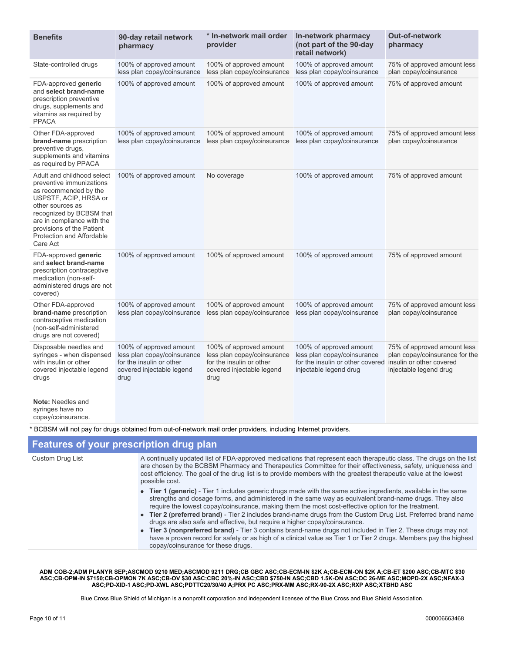| <b>Benefits</b>                                                                                                                                                                                                                                              | 90-day retail network<br>pharmacy                                                                                       | * In-network mail order<br>provider                                                                                     | In-network pharmacy<br>(not part of the 90-day<br>retail network)                                                    | <b>Out-of-network</b><br>pharmacy                                                                                   |
|--------------------------------------------------------------------------------------------------------------------------------------------------------------------------------------------------------------------------------------------------------------|-------------------------------------------------------------------------------------------------------------------------|-------------------------------------------------------------------------------------------------------------------------|----------------------------------------------------------------------------------------------------------------------|---------------------------------------------------------------------------------------------------------------------|
| State-controlled drugs                                                                                                                                                                                                                                       | 100% of approved amount<br>less plan copay/coinsurance                                                                  | 100% of approved amount<br>less plan copay/coinsurance                                                                  | 100% of approved amount<br>less plan copay/coinsurance                                                               | 75% of approved amount less<br>plan copay/coinsurance                                                               |
| FDA-approved generic<br>and select brand-name<br>prescription preventive<br>drugs, supplements and<br>vitamins as required by<br><b>PPACA</b>                                                                                                                | 100% of approved amount                                                                                                 | 100% of approved amount                                                                                                 | 100% of approved amount                                                                                              | 75% of approved amount                                                                                              |
| Other FDA-approved<br><b>brand-name</b> prescription<br>preventive drugs,<br>supplements and vitamins<br>as required by PPACA                                                                                                                                | 100% of approved amount<br>less plan copay/coinsurance                                                                  | 100% of approved amount<br>less plan copay/coinsurance                                                                  | 100% of approved amount<br>less plan copay/coinsurance                                                               | 75% of approved amount less<br>plan copay/coinsurance                                                               |
| Adult and childhood select<br>preventive immunizations<br>as recommended by the<br>USPSTF, ACIP, HRSA or<br>other sources as<br>recognized by BCBSM that<br>are in compliance with the<br>provisions of the Patient<br>Protection and Affordable<br>Care Act | 100% of approved amount                                                                                                 | No coverage                                                                                                             | 100% of approved amount                                                                                              | 75% of approved amount                                                                                              |
| FDA-approved generic<br>and select brand-name<br>prescription contraceptive<br>medication (non-self-<br>administered drugs are not<br>covered)                                                                                                               | 100% of approved amount                                                                                                 | 100% of approved amount                                                                                                 | 100% of approved amount                                                                                              | 75% of approved amount                                                                                              |
| Other FDA-approved<br><b>brand-name</b> prescription<br>contraceptive medication<br>(non-self-administered<br>drugs are not covered)                                                                                                                         | 100% of approved amount<br>less plan copay/coinsurance                                                                  | 100% of approved amount<br>less plan copay/coinsurance                                                                  | 100% of approved amount<br>less plan copay/coinsurance                                                               | 75% of approved amount less<br>plan copay/coinsurance                                                               |
| Disposable needles and<br>syringes - when dispensed<br>with insulin or other<br>covered injectable legend<br>drugs                                                                                                                                           | 100% of approved amount<br>less plan copay/coinsurance<br>for the insulin or other<br>covered injectable legend<br>drug | 100% of approved amount<br>less plan copay/coinsurance<br>for the insulin or other<br>covered injectable legend<br>drug | 100% of approved amount<br>less plan copay/coinsurance<br>for the insulin or other covered<br>injectable legend drug | 75% of approved amount less<br>plan copay/coinsurance for the<br>insulin or other covered<br>injectable legend drug |
| <b>Note:</b> Needles and<br>syringes have no<br>copay/coinsurance.                                                                                                                                                                                           |                                                                                                                         |                                                                                                                         |                                                                                                                      |                                                                                                                     |

\* BCBSM will not pay for drugs obtained from out-of-network mail order providers, including Internet providers.

### **Features of your prescription drug plan**

Custom Drug List **A** continually updated list of FDA-approved medications that represent each therapeutic class. The drugs on the list are chosen by the BCBSM Pharmacy and Therapeutics Committee for their effectiveness, safety, uniqueness and cost efficiency. The goal of the drug list is to provide members with the greatest therapeutic value at the lowest possible cost. **Tier 1 (generic)** - Tier 1 includes generic drugs made with the same active ingredients, available in the same strengths and dosage forms, and administered in the same way as equivalent brand-name drugs. They also require the lowest copay/coinsurance, making them the most cost-effective option for the treatment. **Tier 2 (preferred brand)** - Tier 2 includes brand-name drugs from the Custom Drug List. Preferred brand name drugs are also safe and effective, but require a higher copay/coinsurance. **Tier 3 (nonpreferred brand)** - Tier 3 contains brand-name drugs not included in Tier 2. These drugs may not have a proven record for safety or as high of a clinical value as Tier 1 or Tier 2 drugs. Members pay the highest copay/coinsurance for these drugs.

**ADM COB-2;ADM PLANYR SEP;ASCMOD 9210 MED;ASCMOD 9211 DRG;CB GBC ASC;CB-ECM-IN \$2K A;CB-ECM-ON \$2K A;CB-ET \$200 ASC;CB-MTC \$30 ASC;CB-OPM-IN \$7150;CB-OPMON 7K ASC;CB-OV \$30 ASC;CBC 20%-IN ASC;CBD \$750-IN ASC;CBD 1.5K-ON ASC;DC 26-ME ASC;MOPD-2X ASC;NFAX-3 ASC;PD-XID-1 ASC;PD-XWL ASC;PDTTC20/30/40 A;PRX PC ASC;PRX-MM ASC;RX-90-2X ASC;RXP ASC;XTBHD ASC** 

Blue Cross Blue Shield of Michigan is a nonprofit corporation and independent licensee of the Blue Cross and Blue Shield Association.